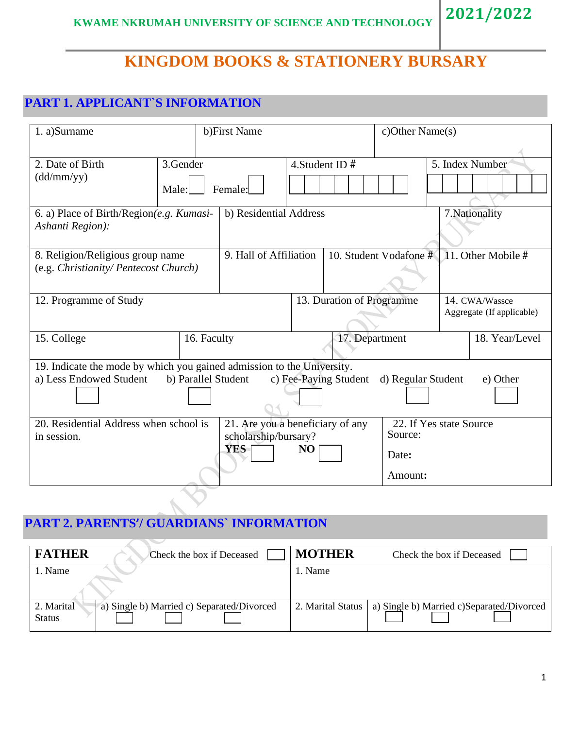# **KINGDOM BOOKS & STATIONERY BURSARY**

# **PART 1. APPLICANT`S INFORMATION**

| 1. a)Surname                                                                                      |                     | b)First Name                                                           |    | c)Other Name(s)           |                             |                                             |  |
|---------------------------------------------------------------------------------------------------|---------------------|------------------------------------------------------------------------|----|---------------------------|-----------------------------|---------------------------------------------|--|
| 2. Date of Birth<br>(dd/mm/yy)                                                                    | 3.Gender<br>Male:   | Female:                                                                |    | 4. Student ID $#$         |                             | 5. Index Number                             |  |
| 6. a) Place of Birth/Region $(e.g.$ Kumasi-<br>Ashanti Region):                                   |                     | b) Residential Address                                                 |    |                           |                             | 7. Nationality                              |  |
| 8. Religion/Religious group name<br>(e.g. Christianity/ Pentecost Church)                         |                     | 9. Hall of Affiliation                                                 |    |                           | 10. Student Vodafone #      | 11. Other Mobile #                          |  |
| 12. Programme of Study                                                                            |                     |                                                                        |    | 13. Duration of Programme |                             | 14. CWA/Wassce<br>Aggregate (If applicable) |  |
| 15. College                                                                                       | 16. Faculty         |                                                                        |    | 17. Department            |                             | 18. Year/Level                              |  |
| 19. Indicate the mode by which you gained admission to the University.<br>a) Less Endowed Student | b) Parallel Student |                                                                        |    | c) Fee-Paying Student     | d) Regular Student          | e) Other                                    |  |
| 20. Residential Address when school is<br>in session.                                             |                     | 21. Are you a beneficiary of any<br>scholarship/bursary?<br><b>YES</b> | NO |                           | Source:<br>Date:<br>Amount: | 22. If Yes state Source                     |  |

## **PART 2. PARENTS'/ GUARDIANS` INFORMATION**

| <b>FATHER</b><br>Check the box if Deceased                                | <b>MOTHER</b><br>Check the box if Deceased                     |
|---------------------------------------------------------------------------|----------------------------------------------------------------|
| . Name                                                                    | . Name                                                         |
| a) Single b) Married c) Separated/Divorced<br>2. Marital<br><b>Status</b> | a) Single b) Married c)Separated/Divorced<br>2. Marital Status |